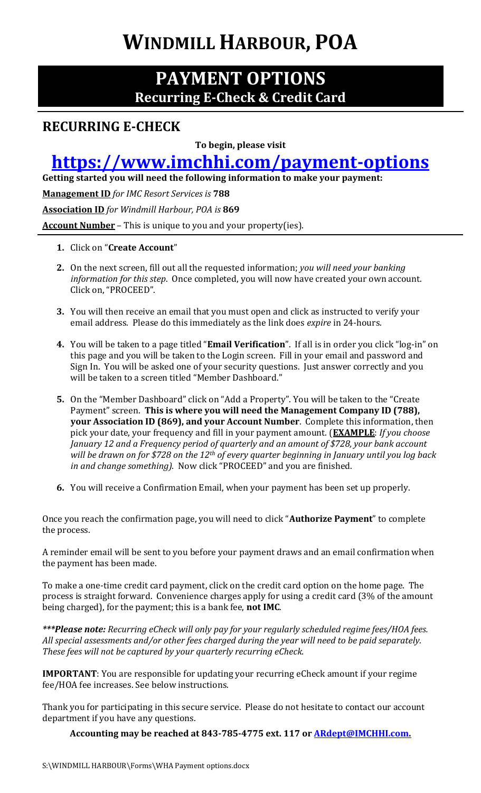# **WINDMILL HARBOUR, POA**

#### **PAYMENT OPTIONS Recurring E-Check & Credit Card**

#### **RECURRING E-CHECK**

**To begin, please visit** 

### **<https://www.imchhi.com/payment-options>**

**Getting started you will need the following information to make your payment:**

**Management ID** *for IMC Resort Services is* **788**

**Association ID** *for Windmill Harbour, POA is* **869**

**Account Number** – This is unique to you and your property(ies).

#### **1.** Click on "**Create Account**"

- **2.** On the next screen, fill out all the requested information; *you will need your banking information for this step*. Once completed, you will now have created your own account. Click on, "PROCEED".
- **3.** You will then receive an email that you must open and click as instructed to verify your email address. Please do this immediately as the link does *expire* in 24-hours.
- **4.** You will be taken to a page titled "**Email Verification**". If all is in order you click "log-in" on this page and you will be taken to the Login screen. Fill in your email and password and Sign In. You will be asked one of your security questions. Just answer correctly and you will be taken to a screen titled "Member Dashboard."
- **5.** On the "Member Dashboard" click on "Add a Property". You will be taken to the "Create Payment" screen. **This is where you will need the Management Company ID (788), your Association ID (869), and your Account Number**. Complete this information, then pick your date, your frequency and fill in your payment amount. (**EXAMPLE**: *If you choose January 12 and a Frequency period of quarterly and an amount of \$728, your bank account will be drawn on for \$728 on the 12th of every quarter beginning in January until you log back in and change something).* Now click "PROCEED" and you are finished.
- **6.** You will receive a Confirmation Email, when your payment has been set up properly.

Once you reach the confirmation page, you will need to click "**Authorize Payment**" to complete the process.

A reminder email will be sent to you before your payment draws and an email confirmation when the payment has been made.

To make a one-time credit card payment, click on the credit card option on the home page. The process is straight forward. Convenience charges apply for using a credit card (3% of the amount being charged), for the payment; this is a bank fee, **not IMC**.

*\*\*\*Please note: Recurring eCheck will only pay for your regularly scheduled regime fees/HOA fees. All special assessments and/or other fees charged during the year will need to be paid separately. These fees will not be captured by your quarterly recurring eCheck.* 

**IMPORTANT**: You are responsible for updating your recurring eCheck amount if your regime fee/HOA fee increases. See below instructions.

Thank you for participating in this secure service. Please do not hesitate to contact our account department if you have any questions.

**Accounting may be reached at 843-785-4775 ext. 117 o[r ARdept@IMCHHI.com.](mailto:ARdept@IMCHHI.com)**